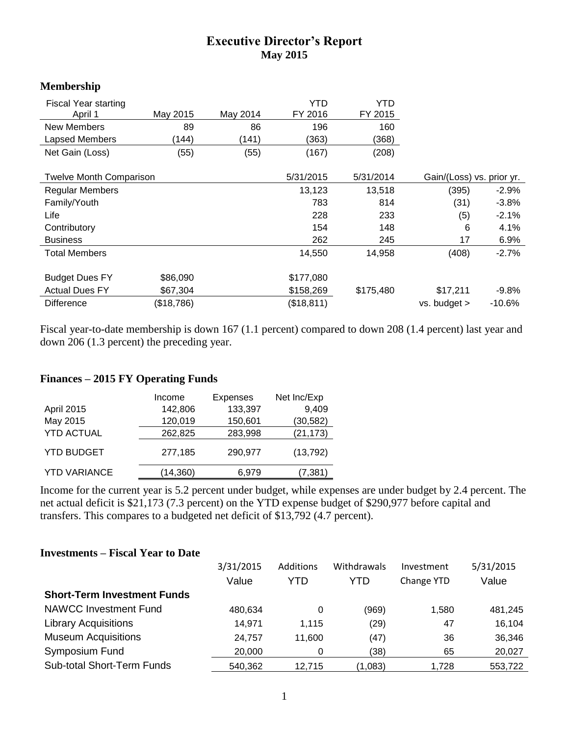## **Executive Director's Report May 2015**

## **Membership**

| <b>Fiscal Year starting</b><br>April 1 | May 2015   | May 2014  | YTD<br>FY 2016 | YTD<br>FY 2015            |              |          |
|----------------------------------------|------------|-----------|----------------|---------------------------|--------------|----------|
| <b>New Members</b>                     | 89         | 86        | 196            | 160                       |              |          |
| Lapsed Members                         | (144)      | (141)     | (363)          | (368)                     |              |          |
| Net Gain (Loss)                        | (55)       | (55)      | (167)          | (208)                     |              |          |
|                                        |            |           |                |                           |              |          |
| <b>Twelve Month Comparison</b>         |            | 5/31/2015 | 5/31/2014      | Gain/(Loss) vs. prior yr. |              |          |
| Regular Members                        |            |           | 13,123         | 13,518                    | (395)        | $-2.9\%$ |
| Family/Youth                           |            |           | 783            | 814                       | (31)         | $-3.8%$  |
| Life                                   |            |           | 228            | 233                       | (5)          | $-2.1%$  |
| Contributory                           |            |           | 154            | 148                       | 6            | 4.1%     |
| <b>Business</b>                        |            |           | 262            | 245                       | 17           | 6.9%     |
| <b>Total Members</b>                   |            |           | 14,550         | 14,958                    | (408)        | $-2.7%$  |
|                                        |            |           |                |                           |              |          |
| <b>Budget Dues FY</b>                  | \$86,090   |           | \$177,080      |                           |              |          |
| <b>Actual Dues FY</b>                  | \$67,304   |           | \$158,269      | \$175,480                 | \$17,211     | $-9.8%$  |
| <b>Difference</b>                      | (\$18,786) |           | (\$18,811)     |                           | vs. budget > | $-10.6%$ |

Fiscal year-to-date membership is down 167 (1.1 percent) compared to down 208 (1.4 percent) last year and down 206 (1.3 percent) the preceding year.

## **Finances – 2015 FY Operating Funds**

|                     | Income    | <b>Expenses</b> | Net Inc/Exp |
|---------------------|-----------|-----------------|-------------|
| April 2015          | 142,806   | 133,397         | 9,409       |
| May 2015            | 120,019   | 150,601         | (30, 582)   |
| <b>YTD ACTUAL</b>   | 262,825   | 283,998         | (21, 173)   |
| <b>YTD BUDGET</b>   | 277,185   | 290,977         | (13, 792)   |
| <b>YTD VARIANCE</b> | (14, 360) | 6,979           | (7, 381)    |

Income for the current year is 5.2 percent under budget, while expenses are under budget by 2.4 percent. The net actual deficit is \$21,173 (7.3 percent) on the YTD expense budget of \$290,977 before capital and transfers. This compares to a budgeted net deficit of \$13,792 (4.7 percent).

## **Investments – Fiscal Year to Date**

|                                    | 3/31/2015 | Additions | <b>Withdrawals</b> | Investment | 5/31/2015 |
|------------------------------------|-----------|-----------|--------------------|------------|-----------|
|                                    | Value     | YTD       | YTD                | Change YTD | Value     |
| <b>Short-Term Investment Funds</b> |           |           |                    |            |           |
| <b>NAWCC Investment Fund</b>       | 480.634   | 0         | (969)              | 1,580      | 481,245   |
| <b>Library Acquisitions</b>        | 14,971    | 1.115     | (29)               | 47         | 16,104    |
| <b>Museum Acquisitions</b>         | 24,757    | 11.600    | (47)               | 36         | 36,346    |
| Symposium Fund                     | 20,000    |           | (38)               | 65         | 20,027    |
| <b>Sub-total Short-Term Funds</b>  | 540,362   | 12.715    | (1,083)            | 1,728      | 553,722   |